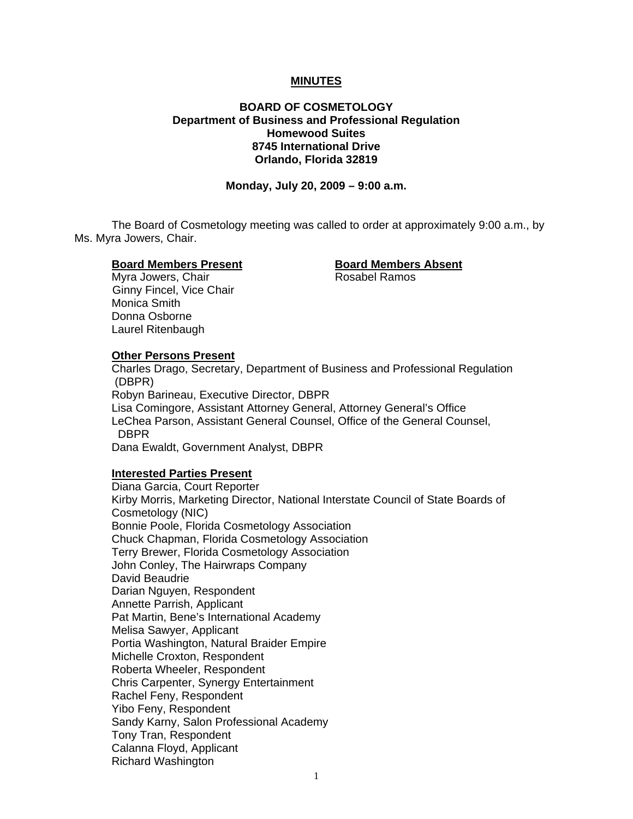#### **MINUTES**

## **BOARD OF COSMETOLOGY Department of Business and Professional Regulation Homewood Suites 8745 International Drive Orlando, Florida 32819**

**Monday, July 20, 2009 – 9:00 a.m.** 

 The Board of Cosmetology meeting was called to order at approximately 9:00 a.m., by Ms. Myra Jowers, Chair.

#### **Board Members Present Board Members Absent**

Myra Jowers, Chair **Rosabel Ramos**  Ginny Fincel, Vice Chair Monica Smith Donna Osborne Laurel Ritenbaugh

**Other Persons Present**  Charles Drago, Secretary, Department of Business and Professional Regulation (DBPR) Robyn Barineau, Executive Director, DBPR Lisa Comingore, Assistant Attorney General, Attorney General's Office LeChea Parson, Assistant General Counsel, Office of the General Counsel, DBPR Dana Ewaldt, Government Analyst, DBPR

#### **Interested Parties Present**

Diana Garcia, Court Reporter Kirby Morris, Marketing Director, National Interstate Council of State Boards of Cosmetology (NIC) Bonnie Poole, Florida Cosmetology Association Chuck Chapman, Florida Cosmetology Association Terry Brewer, Florida Cosmetology Association John Conley, The Hairwraps Company David Beaudrie Darian Nguyen, Respondent Annette Parrish, Applicant Pat Martin, Bene's International Academy Melisa Sawyer, Applicant Portia Washington, Natural Braider Empire Michelle Croxton, Respondent Roberta Wheeler, Respondent Chris Carpenter, Synergy Entertainment Rachel Feny, Respondent Yibo Feny, Respondent Sandy Karny, Salon Professional Academy Tony Tran, Respondent Calanna Floyd, Applicant Richard Washington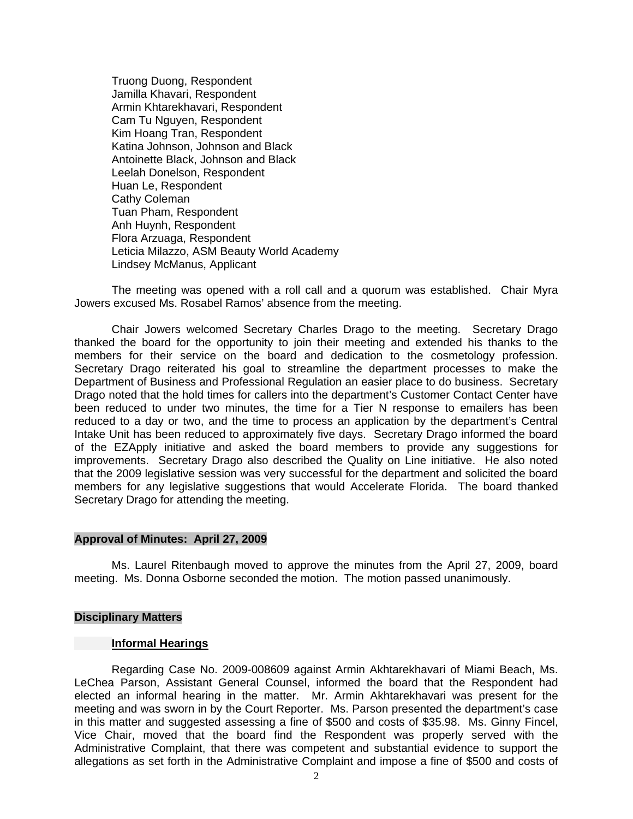Truong Duong, Respondent Jamilla Khavari, Respondent Armin Khtarekhavari, Respondent Cam Tu Nguyen, Respondent Kim Hoang Tran, Respondent Katina Johnson, Johnson and Black Antoinette Black, Johnson and Black Leelah Donelson, Respondent Huan Le, Respondent Cathy Coleman Tuan Pham, Respondent Anh Huynh, Respondent Flora Arzuaga, Respondent Leticia Milazzo, ASM Beauty World Academy Lindsey McManus, Applicant

 The meeting was opened with a roll call and a quorum was established. Chair Myra Jowers excused Ms. Rosabel Ramos' absence from the meeting.

 Chair Jowers welcomed Secretary Charles Drago to the meeting. Secretary Drago thanked the board for the opportunity to join their meeting and extended his thanks to the members for their service on the board and dedication to the cosmetology profession. Secretary Drago reiterated his goal to streamline the department processes to make the Department of Business and Professional Regulation an easier place to do business. Secretary Drago noted that the hold times for callers into the department's Customer Contact Center have been reduced to under two minutes, the time for a Tier N response to emailers has been reduced to a day or two, and the time to process an application by the department's Central Intake Unit has been reduced to approximately five days. Secretary Drago informed the board of the EZApply initiative and asked the board members to provide any suggestions for improvements. Secretary Drago also described the Quality on Line initiative. He also noted that the 2009 legislative session was very successful for the department and solicited the board members for any legislative suggestions that would Accelerate Florida. The board thanked Secretary Drago for attending the meeting.

#### **Approval of Minutes: April 27, 2009**

Ms. Laurel Ritenbaugh moved to approve the minutes from the April 27, 2009, board meeting. Ms. Donna Osborne seconded the motion. The motion passed unanimously.

#### **Disciplinary Matters**

#### **Informal Hearings**

 Regarding Case No. 2009-008609 against Armin Akhtarekhavari of Miami Beach, Ms. LeChea Parson, Assistant General Counsel, informed the board that the Respondent had elected an informal hearing in the matter. Mr. Armin Akhtarekhavari was present for the meeting and was sworn in by the Court Reporter. Ms. Parson presented the department's case in this matter and suggested assessing a fine of \$500 and costs of \$35.98. Ms. Ginny Fincel, Vice Chair, moved that the board find the Respondent was properly served with the Administrative Complaint, that there was competent and substantial evidence to support the allegations as set forth in the Administrative Complaint and impose a fine of \$500 and costs of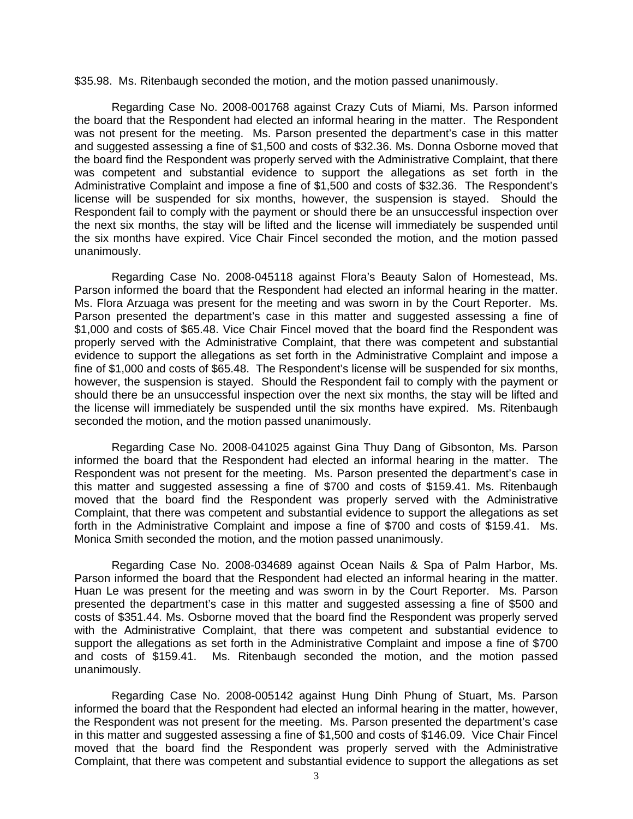\$35.98. Ms. Ritenbaugh seconded the motion, and the motion passed unanimously.

 Regarding Case No. 2008-001768 against Crazy Cuts of Miami, Ms. Parson informed the board that the Respondent had elected an informal hearing in the matter. The Respondent was not present for the meeting. Ms. Parson presented the department's case in this matter and suggested assessing a fine of \$1,500 and costs of \$32.36. Ms. Donna Osborne moved that the board find the Respondent was properly served with the Administrative Complaint, that there was competent and substantial evidence to support the allegations as set forth in the Administrative Complaint and impose a fine of \$1,500 and costs of \$32.36. The Respondent's license will be suspended for six months, however, the suspension is stayed. Should the Respondent fail to comply with the payment or should there be an unsuccessful inspection over the next six months, the stay will be lifted and the license will immediately be suspended until the six months have expired. Vice Chair Fincel seconded the motion, and the motion passed unanimously.

 Regarding Case No. 2008-045118 against Flora's Beauty Salon of Homestead, Ms. Parson informed the board that the Respondent had elected an informal hearing in the matter. Ms. Flora Arzuaga was present for the meeting and was sworn in by the Court Reporter. Ms. Parson presented the department's case in this matter and suggested assessing a fine of \$1,000 and costs of \$65.48. Vice Chair Fincel moved that the board find the Respondent was properly served with the Administrative Complaint, that there was competent and substantial evidence to support the allegations as set forth in the Administrative Complaint and impose a fine of \$1,000 and costs of \$65.48. The Respondent's license will be suspended for six months, however, the suspension is stayed. Should the Respondent fail to comply with the payment or should there be an unsuccessful inspection over the next six months, the stay will be lifted and the license will immediately be suspended until the six months have expired. Ms. Ritenbaugh seconded the motion, and the motion passed unanimously.

 Regarding Case No. 2008-041025 against Gina Thuy Dang of Gibsonton, Ms. Parson informed the board that the Respondent had elected an informal hearing in the matter. The Respondent was not present for the meeting. Ms. Parson presented the department's case in this matter and suggested assessing a fine of \$700 and costs of \$159.41. Ms. Ritenbaugh moved that the board find the Respondent was properly served with the Administrative Complaint, that there was competent and substantial evidence to support the allegations as set forth in the Administrative Complaint and impose a fine of \$700 and costs of \$159.41. Ms. Monica Smith seconded the motion, and the motion passed unanimously.

 Regarding Case No. 2008-034689 against Ocean Nails & Spa of Palm Harbor, Ms. Parson informed the board that the Respondent had elected an informal hearing in the matter. Huan Le was present for the meeting and was sworn in by the Court Reporter. Ms. Parson presented the department's case in this matter and suggested assessing a fine of \$500 and costs of \$351.44. Ms. Osborne moved that the board find the Respondent was properly served with the Administrative Complaint, that there was competent and substantial evidence to support the allegations as set forth in the Administrative Complaint and impose a fine of \$700 and costs of \$159.41. Ms. Ritenbaugh seconded the motion, and the motion passed unanimously.

Regarding Case No. 2008-005142 against Hung Dinh Phung of Stuart, Ms. Parson informed the board that the Respondent had elected an informal hearing in the matter, however, the Respondent was not present for the meeting. Ms. Parson presented the department's case in this matter and suggested assessing a fine of \$1,500 and costs of \$146.09. Vice Chair Fincel moved that the board find the Respondent was properly served with the Administrative Complaint, that there was competent and substantial evidence to support the allegations as set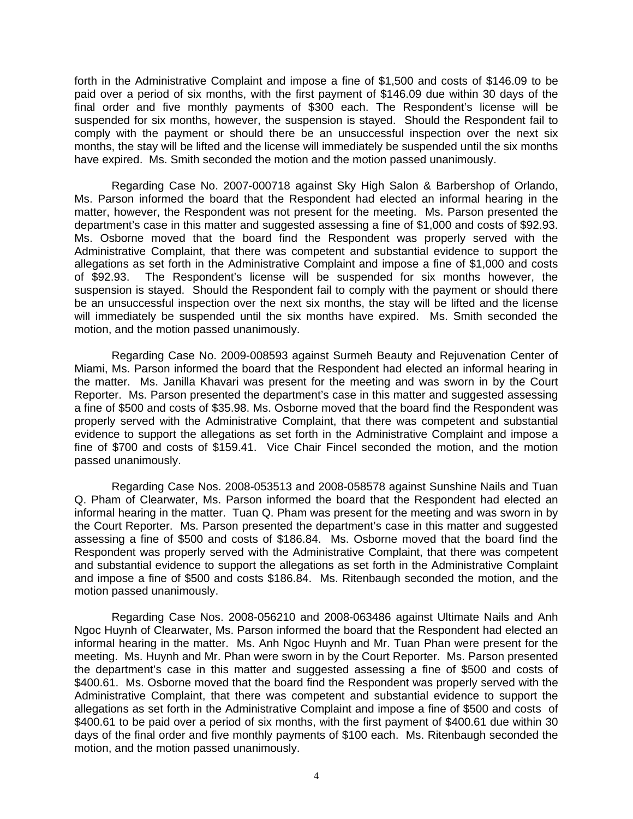forth in the Administrative Complaint and impose a fine of \$1,500 and costs of \$146.09 to be paid over a period of six months, with the first payment of \$146.09 due within 30 days of the final order and five monthly payments of \$300 each. The Respondent's license will be suspended for six months, however, the suspension is stayed. Should the Respondent fail to comply with the payment or should there be an unsuccessful inspection over the next six months, the stay will be lifted and the license will immediately be suspended until the six months have expired. Ms. Smith seconded the motion and the motion passed unanimously.

 Regarding Case No. 2007-000718 against Sky High Salon & Barbershop of Orlando, Ms. Parson informed the board that the Respondent had elected an informal hearing in the matter, however, the Respondent was not present for the meeting. Ms. Parson presented the department's case in this matter and suggested assessing a fine of \$1,000 and costs of \$92.93. Ms. Osborne moved that the board find the Respondent was properly served with the Administrative Complaint, that there was competent and substantial evidence to support the allegations as set forth in the Administrative Complaint and impose a fine of \$1,000 and costs of \$92.93. The Respondent's license will be suspended for six months however, the suspension is stayed. Should the Respondent fail to comply with the payment or should there be an unsuccessful inspection over the next six months, the stay will be lifted and the license will immediately be suspended until the six months have expired. Ms. Smith seconded the motion, and the motion passed unanimously.

 Regarding Case No. 2009-008593 against Surmeh Beauty and Rejuvenation Center of Miami, Ms. Parson informed the board that the Respondent had elected an informal hearing in the matter. Ms. Janilla Khavari was present for the meeting and was sworn in by the Court Reporter. Ms. Parson presented the department's case in this matter and suggested assessing a fine of \$500 and costs of \$35.98. Ms. Osborne moved that the board find the Respondent was properly served with the Administrative Complaint, that there was competent and substantial evidence to support the allegations as set forth in the Administrative Complaint and impose a fine of \$700 and costs of \$159.41. Vice Chair Fincel seconded the motion, and the motion passed unanimously.

 Regarding Case Nos. 2008-053513 and 2008-058578 against Sunshine Nails and Tuan Q. Pham of Clearwater, Ms. Parson informed the board that the Respondent had elected an informal hearing in the matter. Tuan Q. Pham was present for the meeting and was sworn in by the Court Reporter. Ms. Parson presented the department's case in this matter and suggested assessing a fine of \$500 and costs of \$186.84. Ms. Osborne moved that the board find the Respondent was properly served with the Administrative Complaint, that there was competent and substantial evidence to support the allegations as set forth in the Administrative Complaint and impose a fine of \$500 and costs \$186.84. Ms. Ritenbaugh seconded the motion, and the motion passed unanimously.

Regarding Case Nos. 2008-056210 and 2008-063486 against Ultimate Nails and Anh Ngoc Huynh of Clearwater, Ms. Parson informed the board that the Respondent had elected an informal hearing in the matter. Ms. Anh Ngoc Huynh and Mr. Tuan Phan were present for the meeting. Ms. Huynh and Mr. Phan were sworn in by the Court Reporter. Ms. Parson presented the department's case in this matter and suggested assessing a fine of \$500 and costs of \$400.61. Ms. Osborne moved that the board find the Respondent was properly served with the Administrative Complaint, that there was competent and substantial evidence to support the allegations as set forth in the Administrative Complaint and impose a fine of \$500 and costs of \$400.61 to be paid over a period of six months, with the first payment of \$400.61 due within 30 days of the final order and five monthly payments of \$100 each. Ms. Ritenbaugh seconded the motion, and the motion passed unanimously.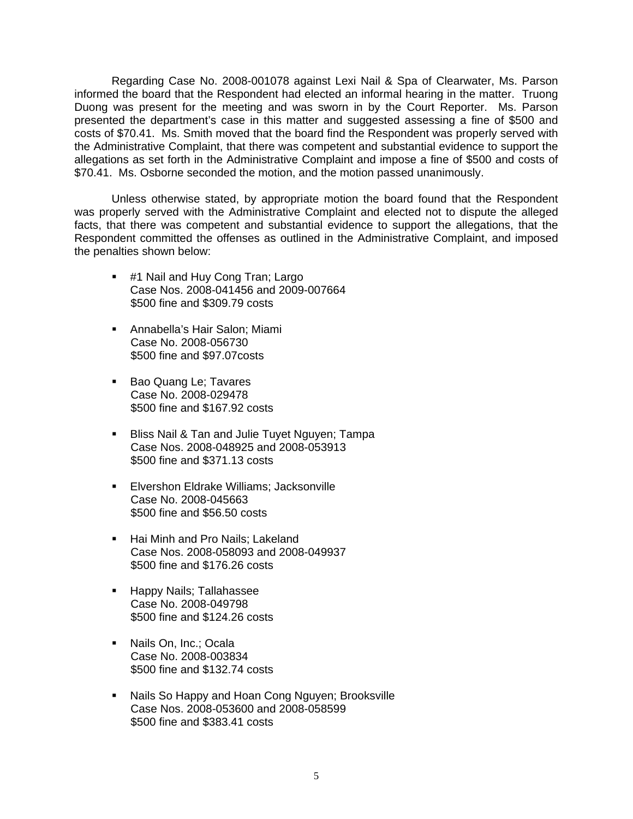Regarding Case No. 2008-001078 against Lexi Nail & Spa of Clearwater, Ms. Parson informed the board that the Respondent had elected an informal hearing in the matter. Truong Duong was present for the meeting and was sworn in by the Court Reporter. Ms. Parson presented the department's case in this matter and suggested assessing a fine of \$500 and costs of \$70.41. Ms. Smith moved that the board find the Respondent was properly served with the Administrative Complaint, that there was competent and substantial evidence to support the allegations as set forth in the Administrative Complaint and impose a fine of \$500 and costs of \$70.41. Ms. Osborne seconded the motion, and the motion passed unanimously.

 Unless otherwise stated, by appropriate motion the board found that the Respondent was properly served with the Administrative Complaint and elected not to dispute the alleged facts, that there was competent and substantial evidence to support the allegations, that the Respondent committed the offenses as outlined in the Administrative Complaint, and imposed the penalties shown below:

- **#1 Nail and Huy Cong Tran; Largo** Case Nos. 2008-041456 and 2009-007664 \$500 fine and \$309.79 costs
- Annabella's Hair Salon; Miami Case No. 2008-056730 \$500 fine and \$97.07costs
- **Bao Quang Le; Tavares**  Case No. 2008-029478 \$500 fine and \$167.92 costs
- **Bliss Nail & Tan and Julie Tuyet Nguyen; Tampa**  Case Nos. 2008-048925 and 2008-053913 \$500 fine and \$371.13 costs
- **Elvershon Eldrake Williams; Jacksonville**  Case No. 2008-045663 \$500 fine and \$56.50 costs
- Hai Minh and Pro Nails: Lakeland Case Nos. 2008-058093 and 2008-049937 \$500 fine and \$176.26 costs
- **Happy Nails; Tallahassee**  Case No. 2008-049798 \$500 fine and \$124.26 costs
- **Nails On, Inc.; Ocala**  Case No. 2008-003834 \$500 fine and \$132.74 costs
- Nails So Happy and Hoan Cong Nguyen; Brooksville Case Nos. 2008-053600 and 2008-058599 \$500 fine and \$383.41 costs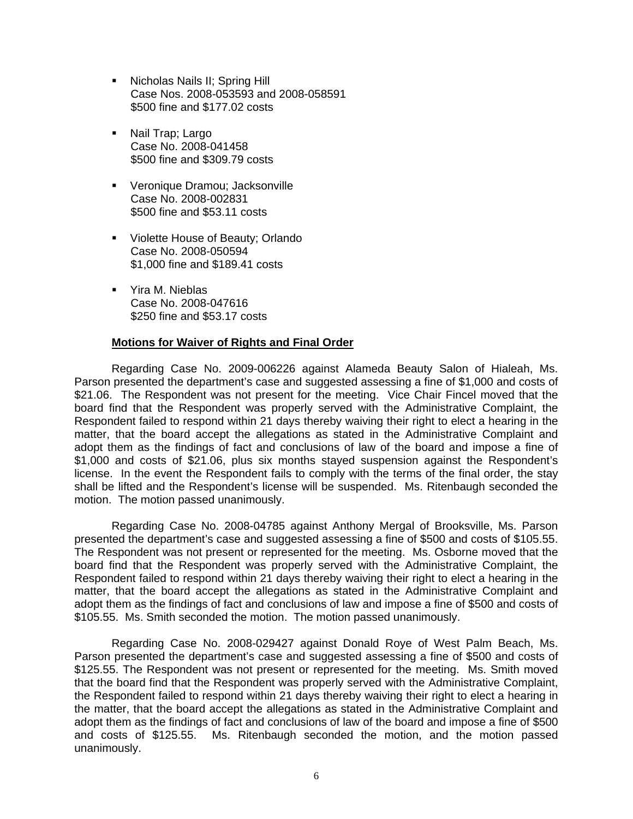- Nicholas Nails II; Spring Hill Case Nos. 2008-053593 and 2008-058591 \$500 fine and \$177.02 costs
- Nail Trap; Largo Case No. 2008-041458 \$500 fine and \$309.79 costs
- **•** Veronique Dramou; Jacksonville Case No. 2008-002831 \$500 fine and \$53.11 costs
- **Violette House of Beauty; Orlando**  Case No. 2008-050594 \$1,000 fine and \$189.41 costs
- Yira M. Nieblas Case No. 2008-047616 \$250 fine and \$53.17 costs

#### **Motions for Waiver of Rights and Final Order**

 Regarding Case No. 2009-006226 against Alameda Beauty Salon of Hialeah, Ms. Parson presented the department's case and suggested assessing a fine of \$1,000 and costs of \$21.06. The Respondent was not present for the meeting. Vice Chair Fincel moved that the board find that the Respondent was properly served with the Administrative Complaint, the Respondent failed to respond within 21 days thereby waiving their right to elect a hearing in the matter, that the board accept the allegations as stated in the Administrative Complaint and adopt them as the findings of fact and conclusions of law of the board and impose a fine of \$1,000 and costs of \$21.06, plus six months stayed suspension against the Respondent's license. In the event the Respondent fails to comply with the terms of the final order, the stay shall be lifted and the Respondent's license will be suspended. Ms. Ritenbaugh seconded the motion. The motion passed unanimously.

 Regarding Case No. 2008-04785 against Anthony Mergal of Brooksville, Ms. Parson presented the department's case and suggested assessing a fine of \$500 and costs of \$105.55. The Respondent was not present or represented for the meeting. Ms. Osborne moved that the board find that the Respondent was properly served with the Administrative Complaint, the Respondent failed to respond within 21 days thereby waiving their right to elect a hearing in the matter, that the board accept the allegations as stated in the Administrative Complaint and adopt them as the findings of fact and conclusions of law and impose a fine of \$500 and costs of \$105.55. Ms. Smith seconded the motion. The motion passed unanimously.

 Regarding Case No. 2008-029427 against Donald Roye of West Palm Beach, Ms. Parson presented the department's case and suggested assessing a fine of \$500 and costs of \$125.55. The Respondent was not present or represented for the meeting. Ms. Smith moved that the board find that the Respondent was properly served with the Administrative Complaint, the Respondent failed to respond within 21 days thereby waiving their right to elect a hearing in the matter, that the board accept the allegations as stated in the Administrative Complaint and adopt them as the findings of fact and conclusions of law of the board and impose a fine of \$500 and costs of \$125.55. Ms. Ritenbaugh seconded the motion, and the motion passed unanimously.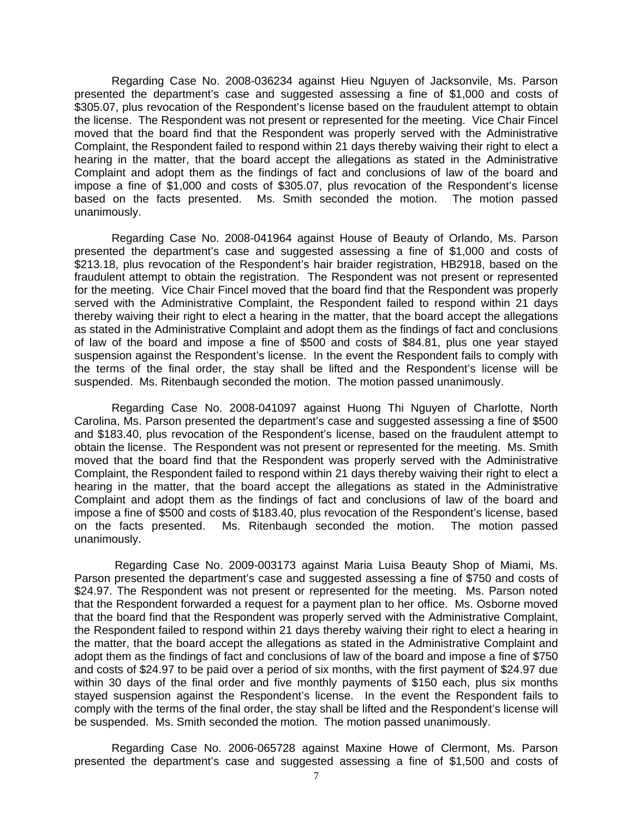Regarding Case No. 2008-036234 against Hieu Nguyen of Jacksonvile, Ms. Parson presented the department's case and suggested assessing a fine of \$1,000 and costs of \$305.07, plus revocation of the Respondent's license based on the fraudulent attempt to obtain the license. The Respondent was not present or represented for the meeting. Vice Chair Fincel moved that the board find that the Respondent was properly served with the Administrative Complaint, the Respondent failed to respond within 21 days thereby waiving their right to elect a hearing in the matter, that the board accept the allegations as stated in the Administrative Complaint and adopt them as the findings of fact and conclusions of law of the board and impose a fine of \$1,000 and costs of \$305.07, plus revocation of the Respondent's license based on the facts presented. Ms. Smith seconded the motion. The motion passed unanimously.

 Regarding Case No. 2008-041964 against House of Beauty of Orlando, Ms. Parson presented the department's case and suggested assessing a fine of \$1,000 and costs of \$213.18, plus revocation of the Respondent's hair braider registration, HB2918, based on the fraudulent attempt to obtain the registration. The Respondent was not present or represented for the meeting. Vice Chair Fincel moved that the board find that the Respondent was properly served with the Administrative Complaint, the Respondent failed to respond within 21 days thereby waiving their right to elect a hearing in the matter, that the board accept the allegations as stated in the Administrative Complaint and adopt them as the findings of fact and conclusions of law of the board and impose a fine of \$500 and costs of \$84.81, plus one year stayed suspension against the Respondent's license. In the event the Respondent fails to comply with the terms of the final order, the stay shall be lifted and the Respondent's license will be suspended. Ms. Ritenbaugh seconded the motion. The motion passed unanimously.

 Regarding Case No. 2008-041097 against Huong Thi Nguyen of Charlotte, North Carolina, Ms. Parson presented the department's case and suggested assessing a fine of \$500 and \$183.40, plus revocation of the Respondent's license, based on the fraudulent attempt to obtain the license. The Respondent was not present or represented for the meeting. Ms. Smith moved that the board find that the Respondent was properly served with the Administrative Complaint, the Respondent failed to respond within 21 days thereby waiving their right to elect a hearing in the matter, that the board accept the allegations as stated in the Administrative Complaint and adopt them as the findings of fact and conclusions of law of the board and impose a fine of \$500 and costs of \$183.40, plus revocation of the Respondent's license, based on the facts presented. Ms. Ritenbaugh seconded the motion. The motion passed unanimously.

 Regarding Case No. 2009-003173 against Maria Luisa Beauty Shop of Miami, Ms. Parson presented the department's case and suggested assessing a fine of \$750 and costs of \$24.97. The Respondent was not present or represented for the meeting. Ms. Parson noted that the Respondent forwarded a request for a payment plan to her office. Ms. Osborne moved that the board find that the Respondent was properly served with the Administrative Complaint, the Respondent failed to respond within 21 days thereby waiving their right to elect a hearing in the matter, that the board accept the allegations as stated in the Administrative Complaint and adopt them as the findings of fact and conclusions of law of the board and impose a fine of \$750 and costs of \$24.97 to be paid over a period of six months, with the first payment of \$24.97 due within 30 days of the final order and five monthly payments of \$150 each, plus six months stayed suspension against the Respondent's license. In the event the Respondent fails to comply with the terms of the final order, the stay shall be lifted and the Respondent's license will be suspended. Ms. Smith seconded the motion. The motion passed unanimously.

 Regarding Case No. 2006-065728 against Maxine Howe of Clermont, Ms. Parson presented the department's case and suggested assessing a fine of \$1,500 and costs of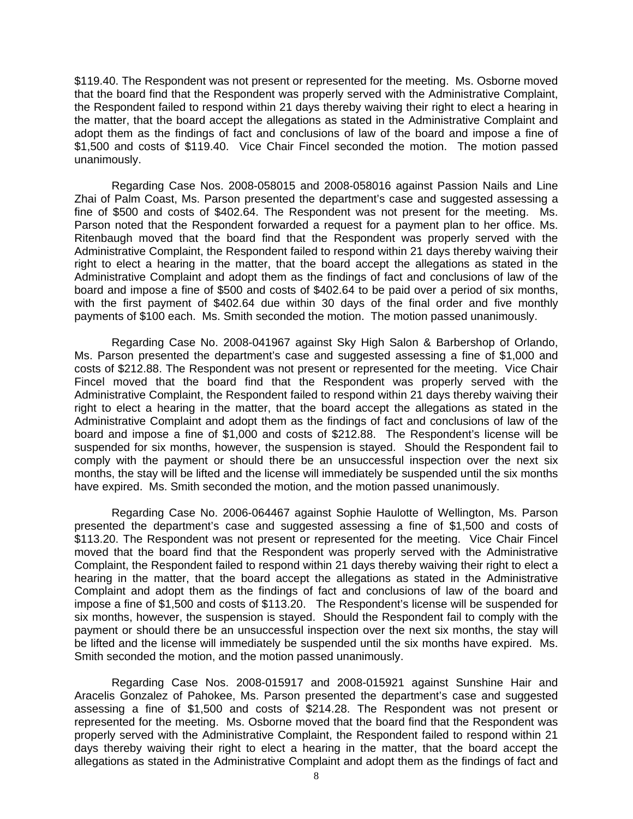\$119.40. The Respondent was not present or represented for the meeting. Ms. Osborne moved that the board find that the Respondent was properly served with the Administrative Complaint, the Respondent failed to respond within 21 days thereby waiving their right to elect a hearing in the matter, that the board accept the allegations as stated in the Administrative Complaint and adopt them as the findings of fact and conclusions of law of the board and impose a fine of \$1,500 and costs of \$119.40. Vice Chair Fincel seconded the motion. The motion passed unanimously.

 Regarding Case Nos. 2008-058015 and 2008-058016 against Passion Nails and Line Zhai of Palm Coast, Ms. Parson presented the department's case and suggested assessing a fine of \$500 and costs of \$402.64. The Respondent was not present for the meeting. Ms. Parson noted that the Respondent forwarded a request for a payment plan to her office. Ms. Ritenbaugh moved that the board find that the Respondent was properly served with the Administrative Complaint, the Respondent failed to respond within 21 days thereby waiving their right to elect a hearing in the matter, that the board accept the allegations as stated in the Administrative Complaint and adopt them as the findings of fact and conclusions of law of the board and impose a fine of \$500 and costs of \$402.64 to be paid over a period of six months, with the first payment of \$402.64 due within 30 days of the final order and five monthly payments of \$100 each. Ms. Smith seconded the motion. The motion passed unanimously.

 Regarding Case No. 2008-041967 against Sky High Salon & Barbershop of Orlando, Ms. Parson presented the department's case and suggested assessing a fine of \$1,000 and costs of \$212.88. The Respondent was not present or represented for the meeting. Vice Chair Fincel moved that the board find that the Respondent was properly served with the Administrative Complaint, the Respondent failed to respond within 21 days thereby waiving their right to elect a hearing in the matter, that the board accept the allegations as stated in the Administrative Complaint and adopt them as the findings of fact and conclusions of law of the board and impose a fine of \$1,000 and costs of \$212.88. The Respondent's license will be suspended for six months, however, the suspension is stayed. Should the Respondent fail to comply with the payment or should there be an unsuccessful inspection over the next six months, the stay will be lifted and the license will immediately be suspended until the six months have expired. Ms. Smith seconded the motion, and the motion passed unanimously.

 Regarding Case No. 2006-064467 against Sophie Haulotte of Wellington, Ms. Parson presented the department's case and suggested assessing a fine of \$1,500 and costs of \$113.20. The Respondent was not present or represented for the meeting. Vice Chair Fincel moved that the board find that the Respondent was properly served with the Administrative Complaint, the Respondent failed to respond within 21 days thereby waiving their right to elect a hearing in the matter, that the board accept the allegations as stated in the Administrative Complaint and adopt them as the findings of fact and conclusions of law of the board and impose a fine of \$1,500 and costs of \$113.20. The Respondent's license will be suspended for six months, however, the suspension is stayed. Should the Respondent fail to comply with the payment or should there be an unsuccessful inspection over the next six months, the stay will be lifted and the license will immediately be suspended until the six months have expired. Ms. Smith seconded the motion, and the motion passed unanimously.

 Regarding Case Nos. 2008-015917 and 2008-015921 against Sunshine Hair and Aracelis Gonzalez of Pahokee, Ms. Parson presented the department's case and suggested assessing a fine of \$1,500 and costs of \$214.28. The Respondent was not present or represented for the meeting. Ms. Osborne moved that the board find that the Respondent was properly served with the Administrative Complaint, the Respondent failed to respond within 21 days thereby waiving their right to elect a hearing in the matter, that the board accept the allegations as stated in the Administrative Complaint and adopt them as the findings of fact and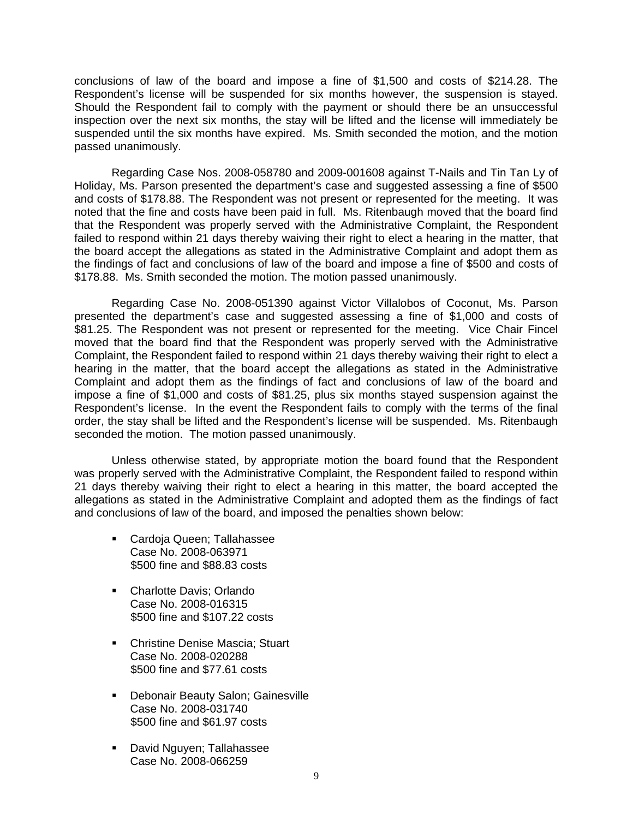conclusions of law of the board and impose a fine of \$1,500 and costs of \$214.28. The Respondent's license will be suspended for six months however, the suspension is stayed. Should the Respondent fail to comply with the payment or should there be an unsuccessful inspection over the next six months, the stay will be lifted and the license will immediately be suspended until the six months have expired. Ms. Smith seconded the motion, and the motion passed unanimously.

 Regarding Case Nos. 2008-058780 and 2009-001608 against T-Nails and Tin Tan Ly of Holiday, Ms. Parson presented the department's case and suggested assessing a fine of \$500 and costs of \$178.88. The Respondent was not present or represented for the meeting. It was noted that the fine and costs have been paid in full. Ms. Ritenbaugh moved that the board find that the Respondent was properly served with the Administrative Complaint, the Respondent failed to respond within 21 days thereby waiving their right to elect a hearing in the matter, that the board accept the allegations as stated in the Administrative Complaint and adopt them as the findings of fact and conclusions of law of the board and impose a fine of \$500 and costs of \$178.88. Ms. Smith seconded the motion. The motion passed unanimously.

 Regarding Case No. 2008-051390 against Victor Villalobos of Coconut, Ms. Parson presented the department's case and suggested assessing a fine of \$1,000 and costs of \$81.25. The Respondent was not present or represented for the meeting. Vice Chair Fincel moved that the board find that the Respondent was properly served with the Administrative Complaint, the Respondent failed to respond within 21 days thereby waiving their right to elect a hearing in the matter, that the board accept the allegations as stated in the Administrative Complaint and adopt them as the findings of fact and conclusions of law of the board and impose a fine of \$1,000 and costs of \$81.25, plus six months stayed suspension against the Respondent's license. In the event the Respondent fails to comply with the terms of the final order, the stay shall be lifted and the Respondent's license will be suspended. Ms. Ritenbaugh seconded the motion. The motion passed unanimously.

 Unless otherwise stated, by appropriate motion the board found that the Respondent was properly served with the Administrative Complaint, the Respondent failed to respond within 21 days thereby waiving their right to elect a hearing in this matter, the board accepted the allegations as stated in the Administrative Complaint and adopted them as the findings of fact and conclusions of law of the board, and imposed the penalties shown below:

- Cardoja Queen; Tallahassee Case No. 2008-063971 \$500 fine and \$88.83 costs
- Charlotte Davis; Orlando Case No. 2008-016315 \$500 fine and \$107.22 costs
- **-** Christine Denise Mascia; Stuart Case No. 2008-020288 \$500 fine and \$77.61 costs
- **-** Debonair Beauty Salon; Gainesville Case No. 2008-031740 \$500 fine and \$61.97 costs
- **David Nguyen; Tallahassee** Case No. 2008-066259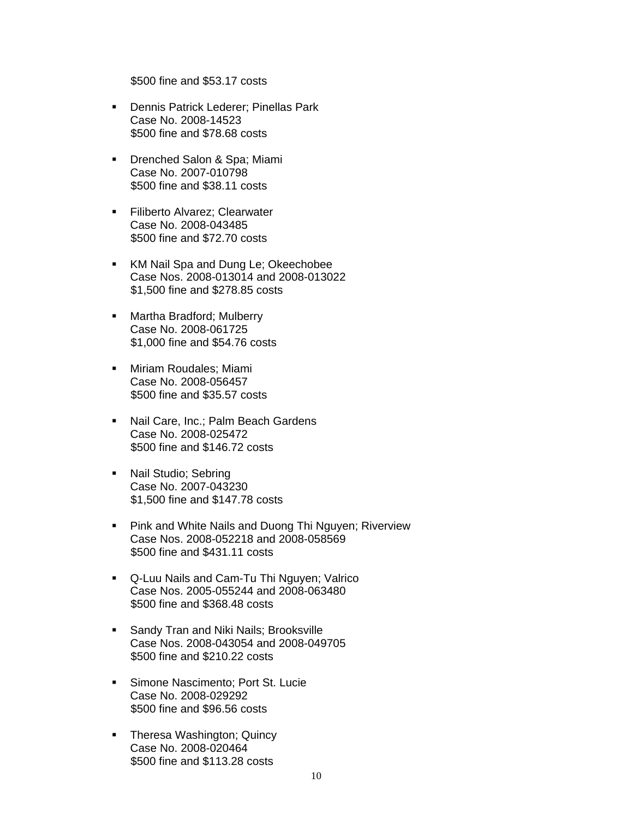\$500 fine and \$53.17 costs

- **Dennis Patrick Lederer; Pinellas Park** Case No. 2008-14523 \$500 fine and \$78.68 costs
- **Drenched Salon & Spa; Miami** Case No. 2007-010798 \$500 fine and \$38.11 costs
- **Filiberto Alvarez: Clearwater** Case No. 2008-043485 \$500 fine and \$72.70 costs
- KM Nail Spa and Dung Le; Okeechobee Case Nos. 2008-013014 and 2008-013022 \$1,500 fine and \$278.85 costs
- **-** Martha Bradford; Mulberry Case No. 2008-061725 \$1,000 fine and \$54.76 costs
- **K.** Miriam Roudales; Miami Case No. 2008-056457 \$500 fine and \$35.57 costs
- Nail Care, Inc.; Palm Beach Gardens Case No. 2008-025472 \$500 fine and \$146.72 costs
- Nail Studio; Sebring Case No. 2007-043230 \$1,500 fine and \$147.78 costs
- **Pink and White Nails and Duong Thi Nguyen; Riverview** Case Nos. 2008-052218 and 2008-058569 \$500 fine and \$431.11 costs
- Q-Luu Nails and Cam-Tu Thi Nguyen; Valrico Case Nos. 2005-055244 and 2008-063480 \$500 fine and \$368.48 costs
- **Sandy Tran and Niki Nails; Brooksville** Case Nos. 2008-043054 and 2008-049705 \$500 fine and \$210.22 costs
- **Simone Nascimento: Port St. Lucie** Case No. 2008-029292 \$500 fine and \$96.56 costs
- Theresa Washington; Quincy Case No. 2008-020464 \$500 fine and \$113.28 costs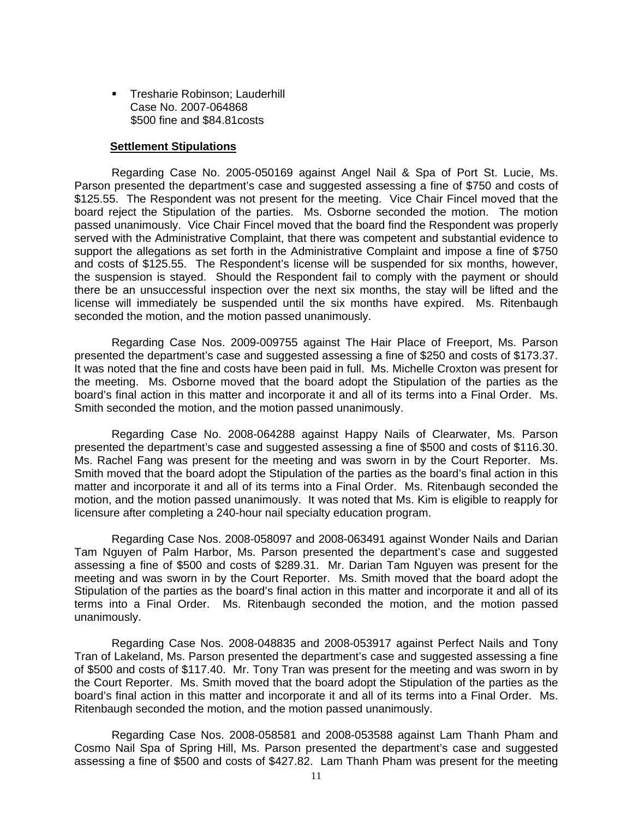**Tresharie Robinson: Lauderhill** Case No. 2007-064868 \$500 fine and \$84.81costs

#### **Settlement Stipulations**

 Regarding Case No. 2005-050169 against Angel Nail & Spa of Port St. Lucie, Ms. Parson presented the department's case and suggested assessing a fine of \$750 and costs of \$125.55. The Respondent was not present for the meeting. Vice Chair Fincel moved that the board reject the Stipulation of the parties. Ms. Osborne seconded the motion. The motion passed unanimously. Vice Chair Fincel moved that the board find the Respondent was properly served with the Administrative Complaint, that there was competent and substantial evidence to support the allegations as set forth in the Administrative Complaint and impose a fine of \$750 and costs of \$125.55. The Respondent's license will be suspended for six months, however, the suspension is stayed. Should the Respondent fail to comply with the payment or should there be an unsuccessful inspection over the next six months, the stay will be lifted and the license will immediately be suspended until the six months have expired. Ms. Ritenbaugh seconded the motion, and the motion passed unanimously.

 Regarding Case Nos. 2009-009755 against The Hair Place of Freeport, Ms. Parson presented the department's case and suggested assessing a fine of \$250 and costs of \$173.37. It was noted that the fine and costs have been paid in full. Ms. Michelle Croxton was present for the meeting. Ms. Osborne moved that the board adopt the Stipulation of the parties as the board's final action in this matter and incorporate it and all of its terms into a Final Order. Ms. Smith seconded the motion, and the motion passed unanimously.

 Regarding Case No. 2008-064288 against Happy Nails of Clearwater, Ms. Parson presented the department's case and suggested assessing a fine of \$500 and costs of \$116.30. Ms. Rachel Fang was present for the meeting and was sworn in by the Court Reporter. Ms. Smith moved that the board adopt the Stipulation of the parties as the board's final action in this matter and incorporate it and all of its terms into a Final Order. Ms. Ritenbaugh seconded the motion, and the motion passed unanimously. It was noted that Ms. Kim is eligible to reapply for licensure after completing a 240-hour nail specialty education program.

 Regarding Case Nos. 2008-058097 and 2008-063491 against Wonder Nails and Darian Tam Nguyen of Palm Harbor, Ms. Parson presented the department's case and suggested assessing a fine of \$500 and costs of \$289.31. Mr. Darian Tam Nguyen was present for the meeting and was sworn in by the Court Reporter. Ms. Smith moved that the board adopt the Stipulation of the parties as the board's final action in this matter and incorporate it and all of its terms into a Final Order. Ms. Ritenbaugh seconded the motion, and the motion passed unanimously.

 Regarding Case Nos. 2008-048835 and 2008-053917 against Perfect Nails and Tony Tran of Lakeland, Ms. Parson presented the department's case and suggested assessing a fine of \$500 and costs of \$117.40. Mr. Tony Tran was present for the meeting and was sworn in by the Court Reporter. Ms. Smith moved that the board adopt the Stipulation of the parties as the board's final action in this matter and incorporate it and all of its terms into a Final Order. Ms. Ritenbaugh seconded the motion, and the motion passed unanimously.

 Regarding Case Nos. 2008-058581 and 2008-053588 against Lam Thanh Pham and Cosmo Nail Spa of Spring Hill, Ms. Parson presented the department's case and suggested assessing a fine of \$500 and costs of \$427.82. Lam Thanh Pham was present for the meeting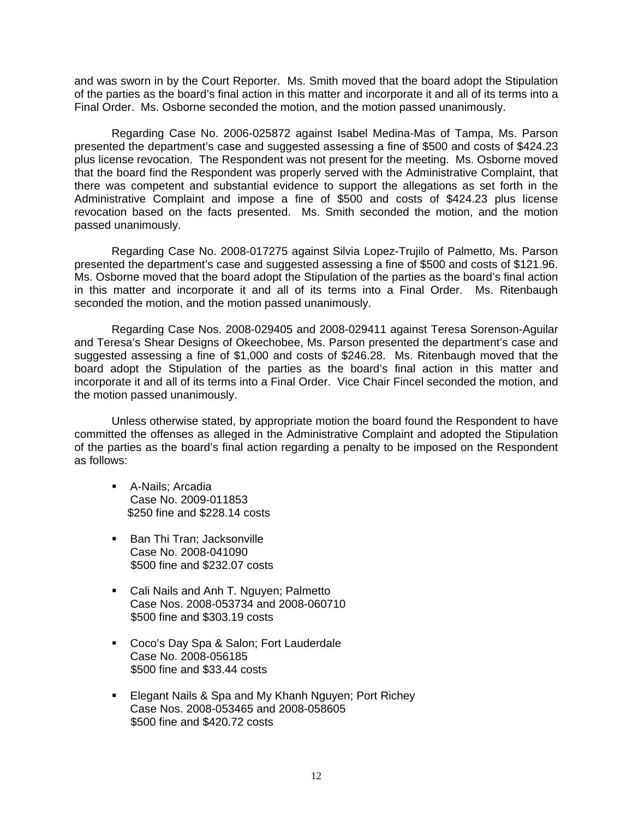and was sworn in by the Court Reporter. Ms. Smith moved that the board adopt the Stipulation of the parties as the board's final action in this matter and incorporate it and all of its terms into a Final Order. Ms. Osborne seconded the motion, and the motion passed unanimously.

 Regarding Case No. 2006-025872 against Isabel Medina-Mas of Tampa, Ms. Parson presented the department's case and suggested assessing a fine of \$500 and costs of \$424.23 plus license revocation. The Respondent was not present for the meeting. Ms. Osborne moved that the board find the Respondent was properly served with the Administrative Complaint, that there was competent and substantial evidence to support the allegations as set forth in the Administrative Complaint and impose a fine of \$500 and costs of \$424.23 plus license revocation based on the facts presented. Ms. Smith seconded the motion, and the motion passed unanimously.

 Regarding Case No. 2008-017275 against Silvia Lopez-Trujilo of Palmetto, Ms. Parson presented the department's case and suggested assessing a fine of \$500 and costs of \$121.96. Ms. Osborne moved that the board adopt the Stipulation of the parties as the board's final action in this matter and incorporate it and all of its terms into a Final Order. Ms. Ritenbaugh seconded the motion, and the motion passed unanimously.

 Regarding Case Nos. 2008-029405 and 2008-029411 against Teresa Sorenson-Aguilar and Teresa's Shear Designs of Okeechobee, Ms. Parson presented the department's case and suggested assessing a fine of \$1,000 and costs of \$246.28. Ms. Ritenbaugh moved that the board adopt the Stipulation of the parties as the board's final action in this matter and incorporate it and all of its terms into a Final Order. Vice Chair Fincel seconded the motion, and the motion passed unanimously.

 Unless otherwise stated, by appropriate motion the board found the Respondent to have committed the offenses as alleged in the Administrative Complaint and adopted the Stipulation of the parties as the board's final action regarding a penalty to be imposed on the Respondent as follows:

- **-** A-Nails; Arcadia Case No. 2009-011853 \$250 fine and \$228.14 costs
- **Ban Thi Tran: Jacksonville** Case No. 2008-041090 \$500 fine and \$232.07 costs
- Cali Nails and Anh T. Nguyen; Palmetto Case Nos. 2008-053734 and 2008-060710 \$500 fine and \$303.19 costs
- **Coco's Day Spa & Salon; Fort Lauderdale** Case No. 2008-056185 \$500 fine and \$33.44 costs
- **Elegant Nails & Spa and My Khanh Nguyen; Port Richey** Case Nos. 2008-053465 and 2008-058605 \$500 fine and \$420.72 costs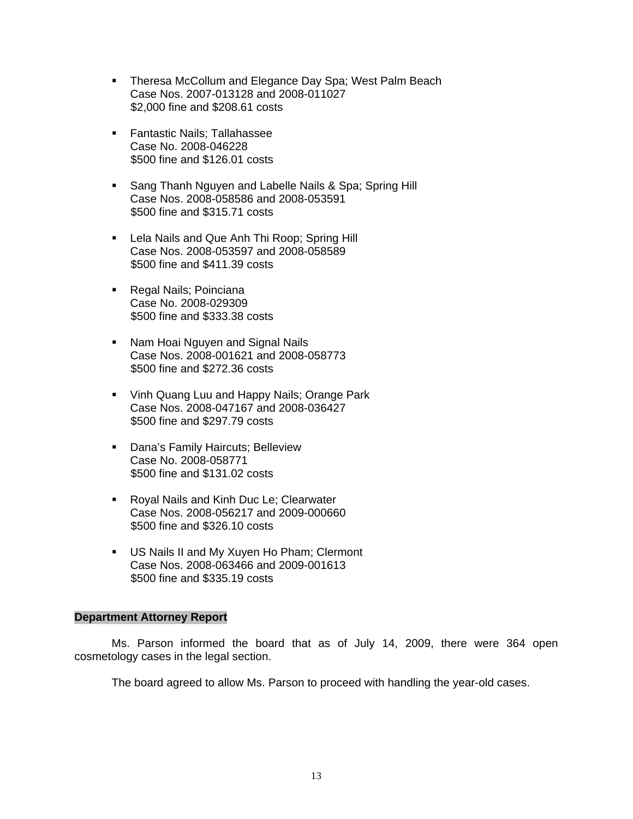- **Theresa McCollum and Elegance Day Spa; West Palm Beach** Case Nos. 2007-013128 and 2008-011027 \$2,000 fine and \$208.61 costs
- **Fantastic Nails: Tallahassee** Case No. 2008-046228 \$500 fine and \$126.01 costs
- **Sang Thanh Nguyen and Labelle Nails & Spa; Spring Hill** Case Nos. 2008-058586 and 2008-053591 \$500 fine and \$315.71 costs
- **-** Lela Nails and Que Anh Thi Roop; Spring Hill Case Nos. 2008-053597 and 2008-058589 \$500 fine and \$411.39 costs
- **Regal Nails; Poinciana** Case No. 2008-029309 \$500 fine and \$333.38 costs
- Nam Hoai Nguyen and Signal Nails Case Nos. 2008-001621 and 2008-058773 \$500 fine and \$272.36 costs
- **Vinh Quang Luu and Happy Nails; Orange Park** Case Nos. 2008-047167 and 2008-036427 \$500 fine and \$297.79 costs
- **-** Dana's Family Haircuts; Belleview Case No. 2008-058771 \$500 fine and \$131.02 costs
- **Royal Nails and Kinh Duc Le; Clearwater** Case Nos. 2008-056217 and 2009-000660 \$500 fine and \$326.10 costs
- US Nails II and My Xuyen Ho Pham; Clermont Case Nos. 2008-063466 and 2009-001613 \$500 fine and \$335.19 costs

#### **Department Attorney Report**

Ms. Parson informed the board that as of July 14, 2009, there were 364 open cosmetology cases in the legal section.

The board agreed to allow Ms. Parson to proceed with handling the year-old cases.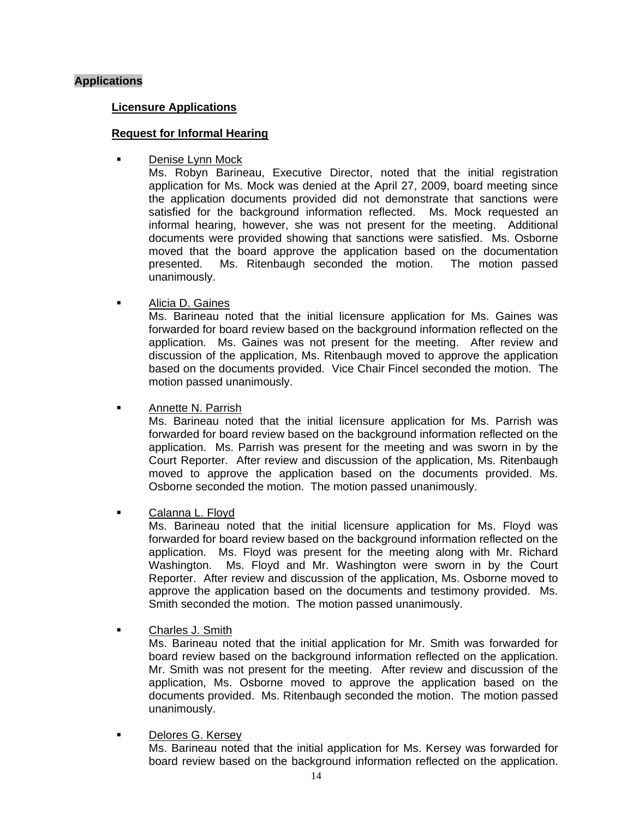## **Applications**

#### **Licensure Applications**

#### **Request for Informal Hearing**

Denise Lynn Mock

Ms. Robyn Barineau, Executive Director, noted that the initial registration application for Ms. Mock was denied at the April 27, 2009, board meeting since the application documents provided did not demonstrate that sanctions were satisfied for the background information reflected. Ms. Mock requested an informal hearing, however, she was not present for the meeting. Additional documents were provided showing that sanctions were satisfied. Ms. Osborne moved that the board approve the application based on the documentation presented. Ms. Ritenbaugh seconded the motion. The motion passed unanimously.

Alicia D. Gaines

Ms. Barineau noted that the initial licensure application for Ms. Gaines was forwarded for board review based on the background information reflected on the application. Ms. Gaines was not present for the meeting. After review and discussion of the application, Ms. Ritenbaugh moved to approve the application based on the documents provided. Vice Chair Fincel seconded the motion. The motion passed unanimously.

Annette N. Parrish

Ms. Barineau noted that the initial licensure application for Ms. Parrish was forwarded for board review based on the background information reflected on the application. Ms. Parrish was present for the meeting and was sworn in by the Court Reporter. After review and discussion of the application, Ms. Ritenbaugh moved to approve the application based on the documents provided. Ms. Osborne seconded the motion. The motion passed unanimously.

**Calanna L. Floyd** 

Ms. Barineau noted that the initial licensure application for Ms. Floyd was forwarded for board review based on the background information reflected on the application. Ms. Floyd was present for the meeting along with Mr. Richard Washington. Ms. Floyd and Mr. Washington were sworn in by the Court Reporter. After review and discussion of the application, Ms. Osborne moved to approve the application based on the documents and testimony provided. Ms. Smith seconded the motion. The motion passed unanimously.

**E** Charles J. Smith

Ms. Barineau noted that the initial application for Mr. Smith was forwarded for board review based on the background information reflected on the application. Mr. Smith was not present for the meeting. After review and discussion of the application, Ms. Osborne moved to approve the application based on the documents provided. Ms. Ritenbaugh seconded the motion. The motion passed unanimously.

## Delores G. Kersey

Ms. Barineau noted that the initial application for Ms. Kersey was forwarded for board review based on the background information reflected on the application.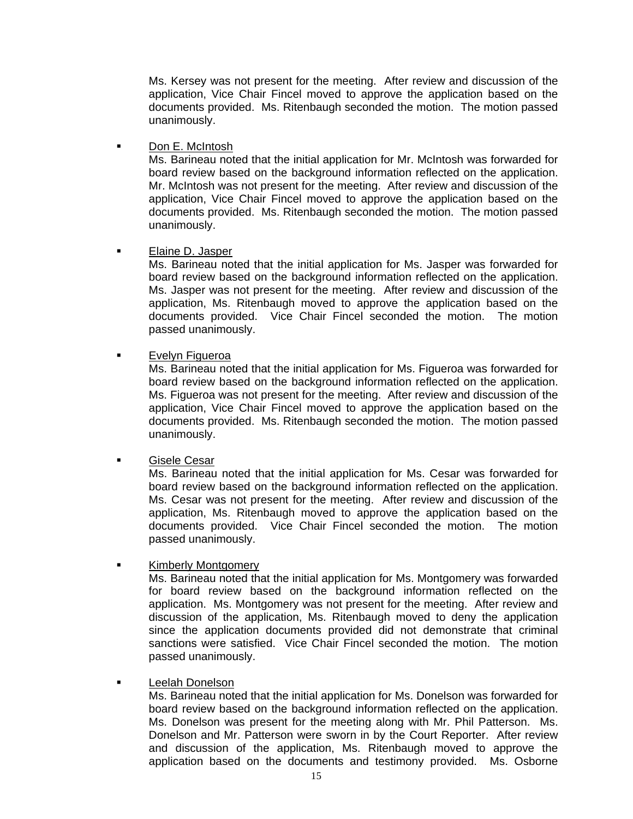Ms. Kersey was not present for the meeting. After review and discussion of the application, Vice Chair Fincel moved to approve the application based on the documents provided. Ms. Ritenbaugh seconded the motion. The motion passed unanimously.

**Don E. McIntosh** 

Ms. Barineau noted that the initial application for Mr. McIntosh was forwarded for board review based on the background information reflected on the application. Mr. McIntosh was not present for the meeting. After review and discussion of the application, Vice Chair Fincel moved to approve the application based on the documents provided. Ms. Ritenbaugh seconded the motion. The motion passed unanimously.

## Elaine D. Jasper

Ms. Barineau noted that the initial application for Ms. Jasper was forwarded for board review based on the background information reflected on the application. Ms. Jasper was not present for the meeting. After review and discussion of the application, Ms. Ritenbaugh moved to approve the application based on the documents provided. Vice Chair Fincel seconded the motion. The motion passed unanimously.

**Exelyn Figueroa** 

Ms. Barineau noted that the initial application for Ms. Figueroa was forwarded for board review based on the background information reflected on the application. Ms. Figueroa was not present for the meeting. After review and discussion of the application, Vice Chair Fincel moved to approve the application based on the documents provided. Ms. Ritenbaugh seconded the motion. The motion passed unanimously.

**Gisele Cesar** 

Ms. Barineau noted that the initial application for Ms. Cesar was forwarded for board review based on the background information reflected on the application. Ms. Cesar was not present for the meeting. After review and discussion of the application, Ms. Ritenbaugh moved to approve the application based on the documents provided. Vice Chair Fincel seconded the motion. The motion passed unanimously.

Kimberly Montgomery

Ms. Barineau noted that the initial application for Ms. Montgomery was forwarded for board review based on the background information reflected on the application. Ms. Montgomery was not present for the meeting. After review and discussion of the application, Ms. Ritenbaugh moved to deny the application since the application documents provided did not demonstrate that criminal sanctions were satisfied. Vice Chair Fincel seconded the motion. The motion passed unanimously.

## Leelah Donelson

Ms. Barineau noted that the initial application for Ms. Donelson was forwarded for board review based on the background information reflected on the application. Ms. Donelson was present for the meeting along with Mr. Phil Patterson. Ms. Donelson and Mr. Patterson were sworn in by the Court Reporter. After review and discussion of the application, Ms. Ritenbaugh moved to approve the application based on the documents and testimony provided. Ms. Osborne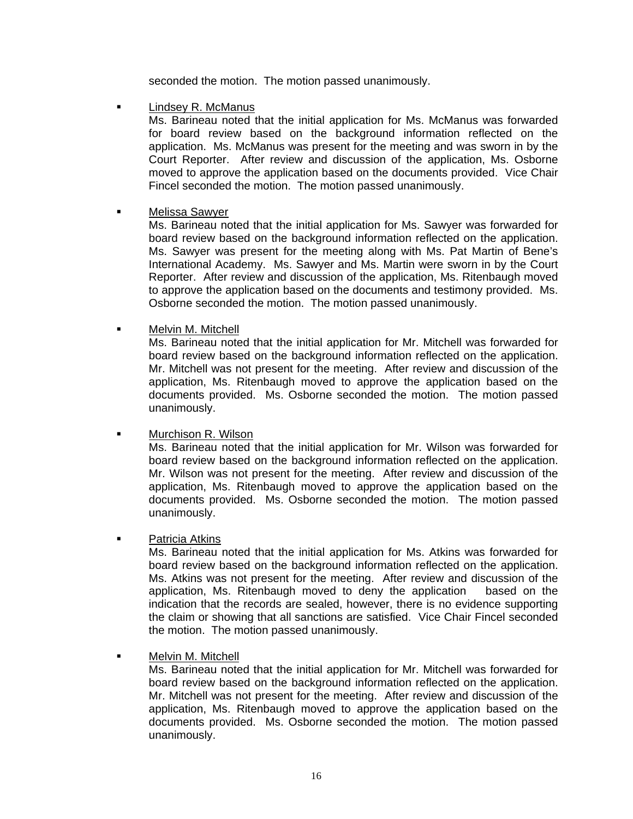seconded the motion. The motion passed unanimously.

Lindsey R. McManus

Ms. Barineau noted that the initial application for Ms. McManus was forwarded for board review based on the background information reflected on the application. Ms. McManus was present for the meeting and was sworn in by the Court Reporter. After review and discussion of the application, Ms. Osborne moved to approve the application based on the documents provided. Vice Chair Fincel seconded the motion. The motion passed unanimously.

## Melissa Sawyer

Ms. Barineau noted that the initial application for Ms. Sawyer was forwarded for board review based on the background information reflected on the application. Ms. Sawyer was present for the meeting along with Ms. Pat Martin of Bene's International Academy. Ms. Sawyer and Ms. Martin were sworn in by the Court Reporter. After review and discussion of the application, Ms. Ritenbaugh moved to approve the application based on the documents and testimony provided. Ms. Osborne seconded the motion. The motion passed unanimously.

Melvin M. Mitchell

Ms. Barineau noted that the initial application for Mr. Mitchell was forwarded for board review based on the background information reflected on the application. Mr. Mitchell was not present for the meeting. After review and discussion of the application, Ms. Ritenbaugh moved to approve the application based on the documents provided. Ms. Osborne seconded the motion. The motion passed unanimously.

Murchison R. Wilson

Ms. Barineau noted that the initial application for Mr. Wilson was forwarded for board review based on the background information reflected on the application. Mr. Wilson was not present for the meeting. After review and discussion of the application, Ms. Ritenbaugh moved to approve the application based on the documents provided. Ms. Osborne seconded the motion. The motion passed unanimously.

## **•** Patricia Atkins

Ms. Barineau noted that the initial application for Ms. Atkins was forwarded for board review based on the background information reflected on the application. Ms. Atkins was not present for the meeting. After review and discussion of the application, Ms. Ritenbaugh moved to deny the application based on the indication that the records are sealed, however, there is no evidence supporting the claim or showing that all sanctions are satisfied. Vice Chair Fincel seconded the motion. The motion passed unanimously.

Melvin M. Mitchell

Ms. Barineau noted that the initial application for Mr. Mitchell was forwarded for board review based on the background information reflected on the application. Mr. Mitchell was not present for the meeting. After review and discussion of the application, Ms. Ritenbaugh moved to approve the application based on the documents provided. Ms. Osborne seconded the motion. The motion passed unanimously.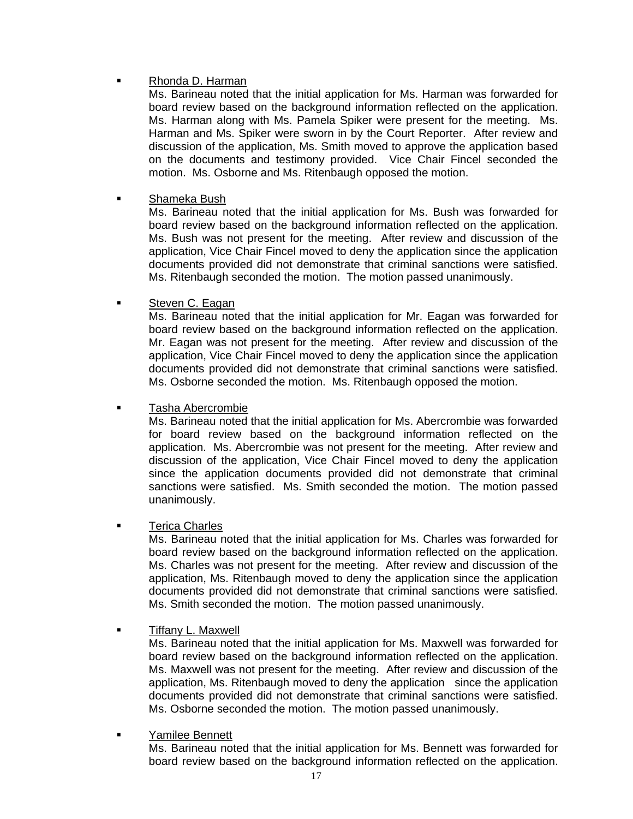# Rhonda D. Harman

Ms. Barineau noted that the initial application for Ms. Harman was forwarded for board review based on the background information reflected on the application. Ms. Harman along with Ms. Pamela Spiker were present for the meeting. Ms. Harman and Ms. Spiker were sworn in by the Court Reporter. After review and discussion of the application, Ms. Smith moved to approve the application based on the documents and testimony provided. Vice Chair Fincel seconded the motion. Ms. Osborne and Ms. Ritenbaugh opposed the motion.

## Shameka Bush

Ms. Barineau noted that the initial application for Ms. Bush was forwarded for board review based on the background information reflected on the application. Ms. Bush was not present for the meeting. After review and discussion of the application, Vice Chair Fincel moved to deny the application since the application documents provided did not demonstrate that criminal sanctions were satisfied. Ms. Ritenbaugh seconded the motion. The motion passed unanimously.

## Steven C. Eagan

Ms. Barineau noted that the initial application for Mr. Eagan was forwarded for board review based on the background information reflected on the application. Mr. Eagan was not present for the meeting. After review and discussion of the application, Vice Chair Fincel moved to deny the application since the application documents provided did not demonstrate that criminal sanctions were satisfied. Ms. Osborne seconded the motion. Ms. Ritenbaugh opposed the motion.

## Tasha Abercrombie

Ms. Barineau noted that the initial application for Ms. Abercrombie was forwarded for board review based on the background information reflected on the application. Ms. Abercrombie was not present for the meeting. After review and discussion of the application, Vice Chair Fincel moved to deny the application since the application documents provided did not demonstrate that criminal sanctions were satisfied. Ms. Smith seconded the motion. The motion passed unanimously.

## Terica Charles

Ms. Barineau noted that the initial application for Ms. Charles was forwarded for board review based on the background information reflected on the application. Ms. Charles was not present for the meeting. After review and discussion of the application, Ms. Ritenbaugh moved to deny the application since the application documents provided did not demonstrate that criminal sanctions were satisfied. Ms. Smith seconded the motion. The motion passed unanimously.

**Tiffany L. Maxwell** 

Ms. Barineau noted that the initial application for Ms. Maxwell was forwarded for board review based on the background information reflected on the application. Ms. Maxwell was not present for the meeting. After review and discussion of the application, Ms. Ritenbaugh moved to deny the application since the application documents provided did not demonstrate that criminal sanctions were satisfied. Ms. Osborne seconded the motion. The motion passed unanimously.

## Yamilee Bennett

Ms. Barineau noted that the initial application for Ms. Bennett was forwarded for board review based on the background information reflected on the application.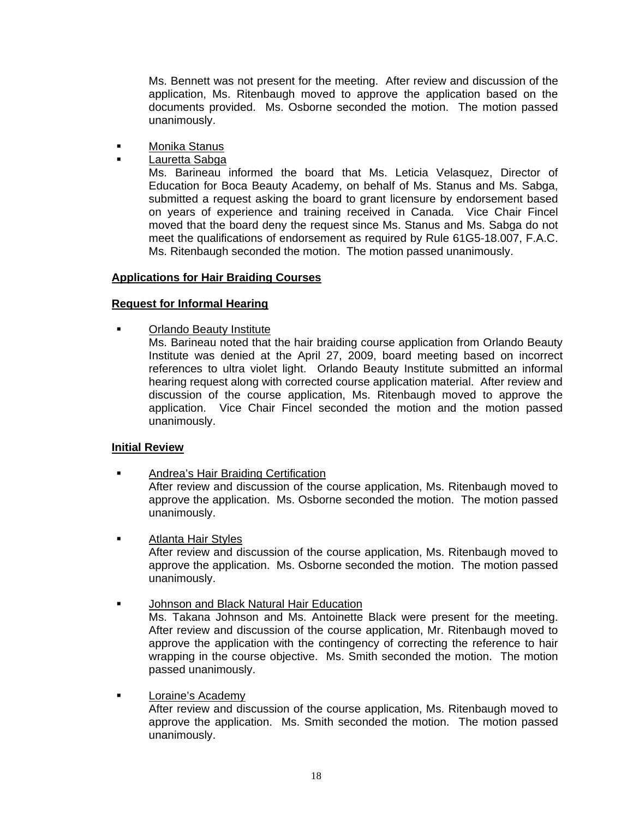Ms. Bennett was not present for the meeting. After review and discussion of the application, Ms. Ritenbaugh moved to approve the application based on the documents provided. Ms. Osborne seconded the motion. The motion passed unanimously.

- **Kanala** Monika Stanus
	- Lauretta Sabga

Ms. Barineau informed the board that Ms. Leticia Velasquez, Director of Education for Boca Beauty Academy, on behalf of Ms. Stanus and Ms. Sabga, submitted a request asking the board to grant licensure by endorsement based on years of experience and training received in Canada. Vice Chair Fincel moved that the board deny the request since Ms. Stanus and Ms. Sabga do not meet the qualifications of endorsement as required by Rule 61G5-18.007, F.A.C. Ms. Ritenbaugh seconded the motion. The motion passed unanimously.

## **Applications for Hair Braiding Courses**

## **Request for Informal Hearing**

**•** Orlando Beauty Institute

Ms. Barineau noted that the hair braiding course application from Orlando Beauty Institute was denied at the April 27, 2009, board meeting based on incorrect references to ultra violet light. Orlando Beauty Institute submitted an informal hearing request along with corrected course application material. After review and discussion of the course application, Ms. Ritenbaugh moved to approve the application. Vice Chair Fincel seconded the motion and the motion passed unanimously.

## **Initial Review**

- Andrea's Hair Braiding Certification After review and discussion of the course application, Ms. Ritenbaugh moved to approve the application. Ms. Osborne seconded the motion. The motion passed unanimously.
- **EXECUTE:** Atlanta Hair Styles After review and discussion of the course application, Ms. Ritenbaugh moved to approve the application. Ms. Osborne seconded the motion. The motion passed unanimously.
- **Johnson and Black Natural Hair Education** Ms. Takana Johnson and Ms. Antoinette Black were present for the meeting. After review and discussion of the course application, Mr. Ritenbaugh moved to approve the application with the contingency of correcting the reference to hair wrapping in the course objective. Ms. Smith seconded the motion. The motion passed unanimously.
- **Example 1** Loraine's Academy After review and discussion of the course application, Ms. Ritenbaugh moved to approve the application. Ms. Smith seconded the motion. The motion passed unanimously.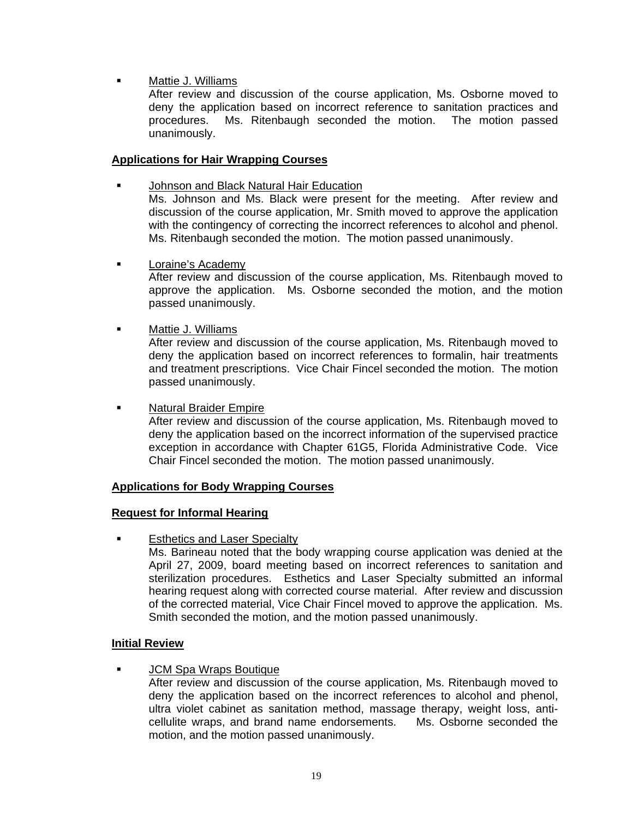Mattie J. Williams

After review and discussion of the course application, Ms. Osborne moved to deny the application based on incorrect reference to sanitation practices and procedures. Ms. Ritenbaugh seconded the motion. The motion passed unanimously.

## **Applications for Hair Wrapping Courses**

- Johnson and Black Natural Hair Education Ms. Johnson and Ms. Black were present for the meeting. After review and discussion of the course application, Mr. Smith moved to approve the application with the contingency of correcting the incorrect references to alcohol and phenol. Ms. Ritenbaugh seconded the motion. The motion passed unanimously.
- **Loraine's Academy** After review and discussion of the course application, Ms. Ritenbaugh moved to approve the application. Ms. Osborne seconded the motion, and the motion passed unanimously.
- **Nattie J. Williams**

After review and discussion of the course application, Ms. Ritenbaugh moved to deny the application based on incorrect references to formalin, hair treatments and treatment prescriptions. Vice Chair Fincel seconded the motion. The motion passed unanimously.

Natural Braider Empire

After review and discussion of the course application, Ms. Ritenbaugh moved to deny the application based on the incorrect information of the supervised practice exception in accordance with Chapter 61G5, Florida Administrative Code. Vice Chair Fincel seconded the motion. The motion passed unanimously.

#### **Applications for Body Wrapping Courses**

#### **Request for Informal Hearing**

Esthetics and Laser Specialty

Ms. Barineau noted that the body wrapping course application was denied at the April 27, 2009, board meeting based on incorrect references to sanitation and sterilization procedures. Esthetics and Laser Specialty submitted an informal hearing request along with corrected course material. After review and discussion of the corrected material, Vice Chair Fincel moved to approve the application. Ms. Smith seconded the motion, and the motion passed unanimously.

#### **Initial Review**

JCM Spa Wraps Boutique

After review and discussion of the course application, Ms. Ritenbaugh moved to deny the application based on the incorrect references to alcohol and phenol, ultra violet cabinet as sanitation method, massage therapy, weight loss, anticellulite wraps, and brand name endorsements. Ms. Osborne seconded the motion, and the motion passed unanimously.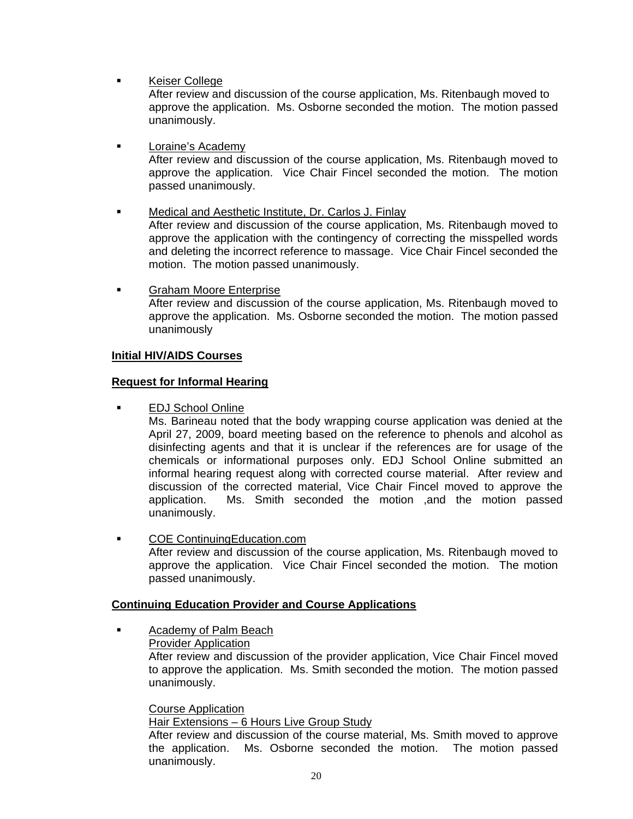**Keiser College** 

 After review and discussion of the course application, Ms. Ritenbaugh moved to approve the application. Ms. Osborne seconded the motion. The motion passed unanimously.

- **Loraine's Academy** After review and discussion of the course application, Ms. Ritenbaugh moved to approve the application. Vice Chair Fincel seconded the motion. The motion passed unanimously.
- Medical and Aesthetic Institute, Dr. Carlos J. Finlay After review and discussion of the course application, Ms. Ritenbaugh moved to approve the application with the contingency of correcting the misspelled words and deleting the incorrect reference to massage. Vice Chair Fincel seconded the motion. The motion passed unanimously.
- **Graham Moore Enterprise** After review and discussion of the course application, Ms. Ritenbaugh moved to approve the application. Ms. Osborne seconded the motion. The motion passed unanimously

## **Initial HIV/AIDS Courses**

## **Request for Informal Hearing**

EDJ School Online

Ms. Barineau noted that the body wrapping course application was denied at the April 27, 2009, board meeting based on the reference to phenols and alcohol as disinfecting agents and that it is unclear if the references are for usage of the chemicals or informational purposes only. EDJ School Online submitted an informal hearing request along with corrected course material. After review and discussion of the corrected material, Vice Chair Fincel moved to approve the application. Ms. Smith seconded the motion ,and the motion passed unanimously.

**• COE ContinuingEducation.com** After review and discussion of the course application, Ms. Ritenbaugh moved to approve the application. Vice Chair Fincel seconded the motion. The motion passed unanimously.

## **Continuing Education Provider and Course Applications**

 Academy of Palm Beach Provider Application After review and discussion of the provider application, Vice Chair Fincel moved to approve the application. Ms. Smith seconded the motion. The motion passed unanimously.

#### Course Application

Hair Extensions - 6 Hours Live Group Study

After review and discussion of the course material, Ms. Smith moved to approve the application. Ms. Osborne seconded the motion. The motion passed unanimously.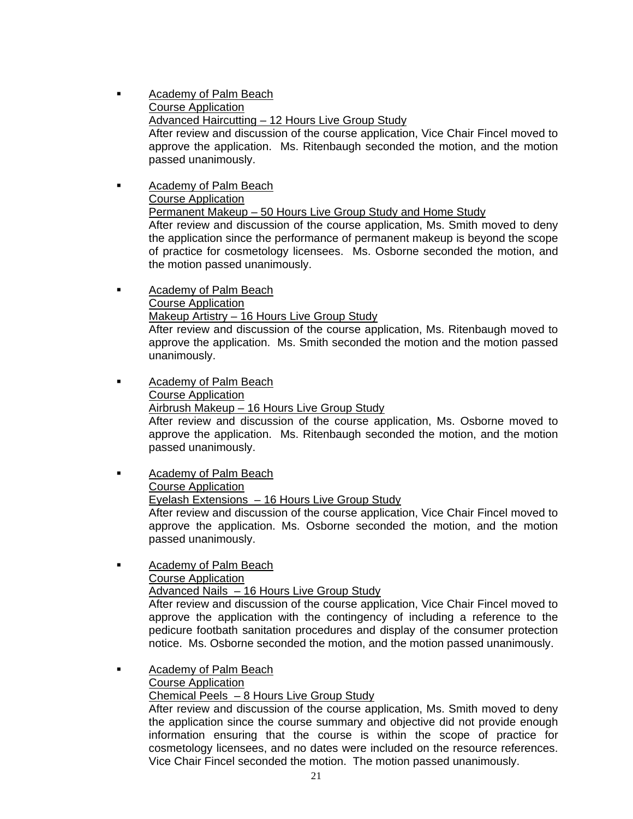- **Example 2** Academy of Palm Beach Course Application Advanced Haircutting – 12 Hours Live Group Study After review and discussion of the course application, Vice Chair Fincel moved to approve the application. Ms. Ritenbaugh seconded the motion, and the motion passed unanimously.
- Academy of Palm Beach Course Application Permanent Makeup – 50 Hours Live Group Study and Home Study After review and discussion of the course application, Ms. Smith moved to deny the application since the performance of permanent makeup is beyond the scope of practice for cosmetology licensees. Ms. Osborne seconded the motion, and the motion passed unanimously.
- **Academy of Palm Beach**  Course Application Makeup Artistry – 16 Hours Live Group Study

After review and discussion of the course application, Ms. Ritenbaugh moved to approve the application. Ms. Smith seconded the motion and the motion passed unanimously.

- **EXEC** Academy of Palm Beach Course Application Airbrush Makeup – 16 Hours Live Group Study After review and discussion of the course application, Ms. Osborne moved to approve the application. Ms. Ritenbaugh seconded the motion, and the motion passed unanimously.
- **EXEC** Academy of Palm Beach Course Application Eyelash Extensions – 16 Hours Live Group Study After review and discussion of the course application, Vice Chair Fincel moved to approve the application. Ms. Osborne seconded the motion, and the motion passed unanimously.
- **EXEC** Academy of Palm Beach Course Application Advanced Nails – 16 Hours Live Group Study

After review and discussion of the course application, Vice Chair Fincel moved to approve the application with the contingency of including a reference to the pedicure footbath sanitation procedures and display of the consumer protection notice. Ms. Osborne seconded the motion, and the motion passed unanimously.

**Example 2** Academy of Palm Beach Course Application

Chemical Peels – 8 Hours Live Group Study

After review and discussion of the course application, Ms. Smith moved to deny the application since the course summary and objective did not provide enough information ensuring that the course is within the scope of practice for cosmetology licensees, and no dates were included on the resource references. Vice Chair Fincel seconded the motion. The motion passed unanimously.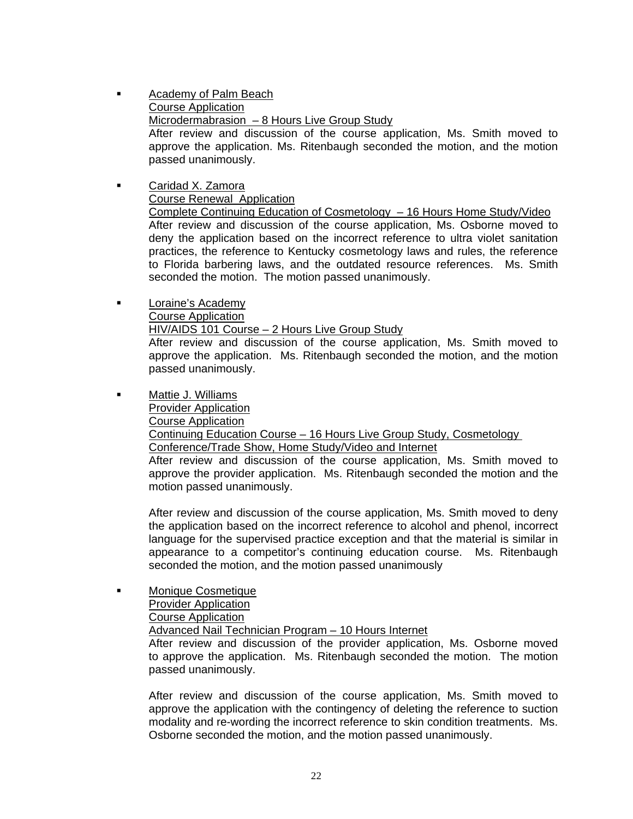- Academy of Palm Beach Course Application Microdermabrasion – 8 Hours Live Group Study After review and discussion of the course application, Ms. Smith moved to approve the application. Ms. Ritenbaugh seconded the motion, and the motion passed unanimously.
- Caridad X. Zamora Course Renewal Application Complete Continuing Education of Cosmetology – 16 Hours Home Study/Video After review and discussion of the course application, Ms. Osborne moved to deny the application based on the incorrect reference to ultra violet sanitation practices, the reference to Kentucky cosmetology laws and rules, the reference to Florida barbering laws, and the outdated resource references. Ms. Smith seconded the motion. The motion passed unanimously.
- **Loraine's Academy**  Course Application HIV/AIDS 101 Course – 2 Hours Live Group Study After review and discussion of the course application, Ms. Smith moved to approve the application. Ms. Ritenbaugh seconded the motion, and the motion passed unanimously.
- Mattie J. Williams

Provider Application

Course Application

Continuing Education Course – 16 Hours Live Group Study, Cosmetology

Conference/Trade Show, Home Study/Video and Internet

After review and discussion of the course application, Ms. Smith moved to approve the provider application. Ms. Ritenbaugh seconded the motion and the motion passed unanimously.

After review and discussion of the course application, Ms. Smith moved to deny the application based on the incorrect reference to alcohol and phenol, incorrect language for the supervised practice exception and that the material is similar in appearance to a competitor's continuing education course. Ms. Ritenbaugh seconded the motion, and the motion passed unanimously

 Monique Cosmetique Provider Application Course Application Advanced Nail Technician Program – 10 Hours Internet After review and discussion of the provider application, Ms. Osborne moved to approve the application. Ms. Ritenbaugh seconded the motion. The motion passed unanimously.

After review and discussion of the course application, Ms. Smith moved to approve the application with the contingency of deleting the reference to suction modality and re-wording the incorrect reference to skin condition treatments. Ms. Osborne seconded the motion, and the motion passed unanimously.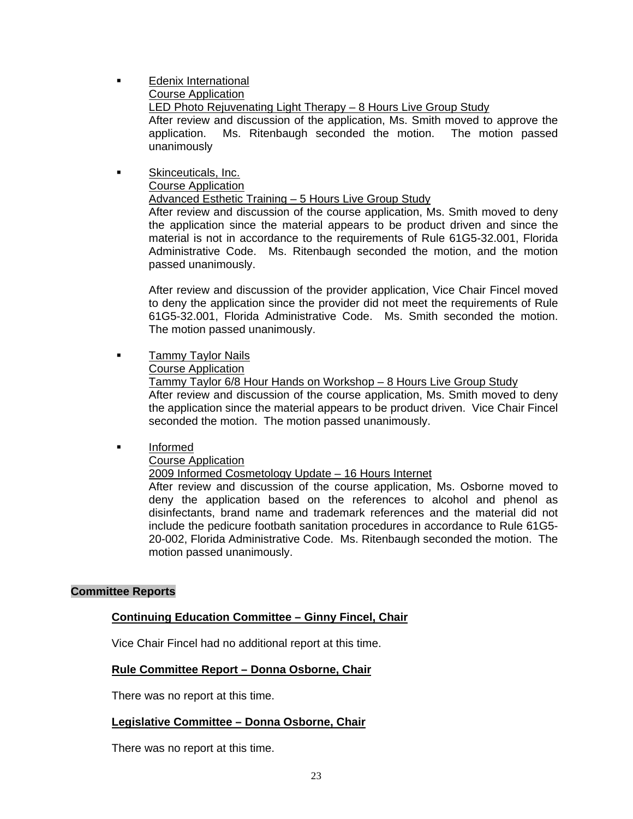**Edenix International** 

Course Application

LED Photo Rejuvenating Light Therapy - 8 Hours Live Group Study

After review and discussion of the application, Ms. Smith moved to approve the application. Ms. Ritenbaugh seconded the motion. The motion passed unanimously

**Skinceuticals, Inc.**  Course Application Advanced Esthetic Training – 5 Hours Live Group Study

After review and discussion of the course application, Ms. Smith moved to deny the application since the material appears to be product driven and since the material is not in accordance to the requirements of Rule 61G5-32.001, Florida Administrative Code. Ms. Ritenbaugh seconded the motion, and the motion passed unanimously.

After review and discussion of the provider application, Vice Chair Fincel moved to deny the application since the provider did not meet the requirements of Rule 61G5-32.001, Florida Administrative Code. Ms. Smith seconded the motion. The motion passed unanimously.

**Tammy Taylor Nails** 

Course Application

 Tammy Taylor 6/8 Hour Hands on Workshop – 8 Hours Live Group Study After review and discussion of the course application, Ms. Smith moved to deny the application since the material appears to be product driven. Vice Chair Fincel seconded the motion. The motion passed unanimously.

**Informed** 

Course Application

2009 Informed Cosmetology Update – 16 Hours Internet

After review and discussion of the course application, Ms. Osborne moved to deny the application based on the references to alcohol and phenol as disinfectants, brand name and trademark references and the material did not include the pedicure footbath sanitation procedures in accordance to Rule 61G5- 20-002, Florida Administrative Code. Ms. Ritenbaugh seconded the motion. The motion passed unanimously.

# **Committee Reports**

# **Continuing Education Committee – Ginny Fincel, Chair**

Vice Chair Fincel had no additional report at this time.

# **Rule Committee Report – Donna Osborne, Chair**

There was no report at this time.

## **Legislative Committee – Donna Osborne, Chair**

There was no report at this time.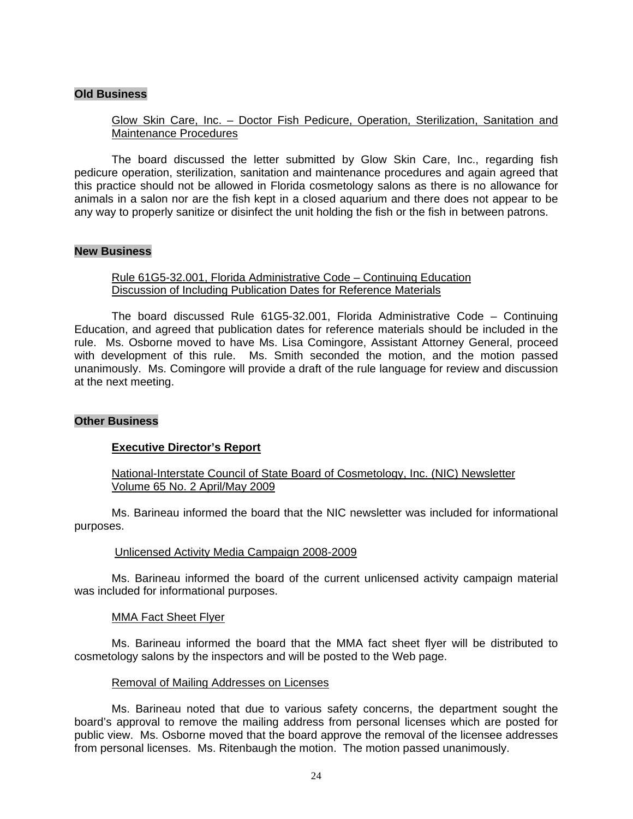#### **Old Business**

## Glow Skin Care, Inc. – Doctor Fish Pedicure, Operation, Sterilization, Sanitation and Maintenance Procedures

 The board discussed the letter submitted by Glow Skin Care, Inc., regarding fish pedicure operation, sterilization, sanitation and maintenance procedures and again agreed that this practice should not be allowed in Florida cosmetology salons as there is no allowance for animals in a salon nor are the fish kept in a closed aquarium and there does not appear to be any way to properly sanitize or disinfect the unit holding the fish or the fish in between patrons.

#### **New Business**

#### Rule 61G5-32.001, Florida Administrative Code – Continuing Education Discussion of Including Publication Dates for Reference Materials

 The board discussed Rule 61G5-32.001, Florida Administrative Code – Continuing Education, and agreed that publication dates for reference materials should be included in the rule. Ms. Osborne moved to have Ms. Lisa Comingore, Assistant Attorney General, proceed with development of this rule. Ms. Smith seconded the motion, and the motion passed unanimously. Ms. Comingore will provide a draft of the rule language for review and discussion at the next meeting.

#### **Other Business**

#### **Executive Director's Report**

## National-Interstate Council of State Board of Cosmetology, Inc. (NIC) Newsletter Volume 65 No. 2 April/May 2009

 Ms. Barineau informed the board that the NIC newsletter was included for informational purposes.

#### Unlicensed Activity Media Campaign 2008-2009

 Ms. Barineau informed the board of the current unlicensed activity campaign material was included for informational purposes.

#### MMA Fact Sheet Flyer

 Ms. Barineau informed the board that the MMA fact sheet flyer will be distributed to cosmetology salons by the inspectors and will be posted to the Web page.

#### Removal of Mailing Addresses on Licenses

 Ms. Barineau noted that due to various safety concerns, the department sought the board's approval to remove the mailing address from personal licenses which are posted for public view. Ms. Osborne moved that the board approve the removal of the licensee addresses from personal licenses. Ms. Ritenbaugh the motion. The motion passed unanimously.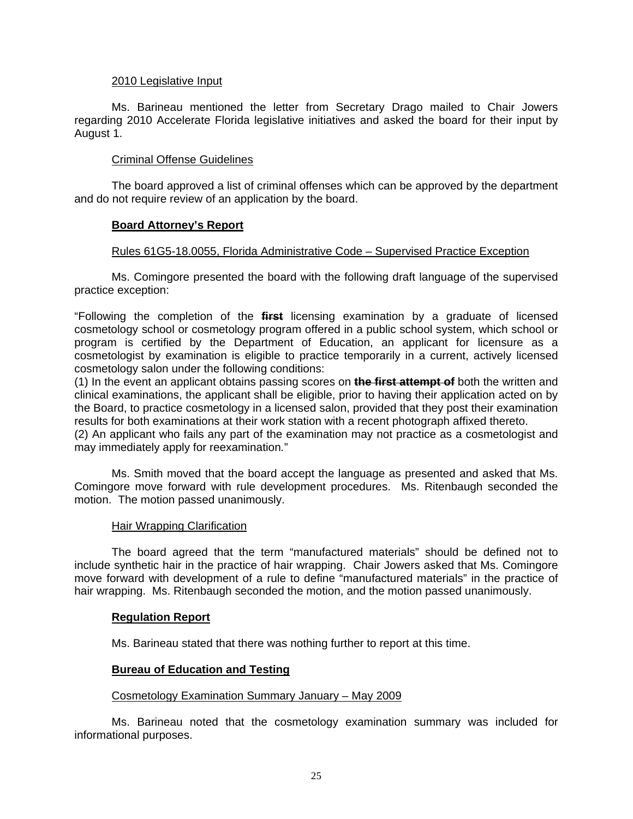#### 2010 Legislative Input

 Ms. Barineau mentioned the letter from Secretary Drago mailed to Chair Jowers regarding 2010 Accelerate Florida legislative initiatives and asked the board for their input by August 1.

## Criminal Offense Guidelines

 The board approved a list of criminal offenses which can be approved by the department and do not require review of an application by the board.

## **Board Attorney's Report**

#### Rules 61G5-18.0055, Florida Administrative Code – Supervised Practice Exception

 Ms. Comingore presented the board with the following draft language of the supervised practice exception:

"Following the completion of the **first** licensing examination by a graduate of licensed cosmetology school or cosmetology program offered in a public school system, which school or program is certified by the Department of Education, an applicant for licensure as a cosmetologist by examination is eligible to practice temporarily in a current, actively licensed cosmetology salon under the following conditions:

(1) In the event an applicant obtains passing scores on **the first attempt of** both the written and clinical examinations, the applicant shall be eligible, prior to having their application acted on by the Board, to practice cosmetology in a licensed salon, provided that they post their examination results for both examinations at their work station with a recent photograph affixed thereto.

(2) An applicant who fails any part of the examination may not practice as a cosmetologist and may immediately apply for reexamination*.*"

 Ms. Smith moved that the board accept the language as presented and asked that Ms. Comingore move forward with rule development procedures. Ms. Ritenbaugh seconded the motion. The motion passed unanimously.

#### Hair Wrapping Clarification

 The board agreed that the term "manufactured materials" should be defined not to include synthetic hair in the practice of hair wrapping. Chair Jowers asked that Ms. Comingore move forward with development of a rule to define "manufactured materials" in the practice of hair wrapping. Ms. Ritenbaugh seconded the motion, and the motion passed unanimously.

#### **Regulation Report**

Ms. Barineau stated that there was nothing further to report at this time.

## **Bureau of Education and Testing**

#### Cosmetology Examination Summary January – May 2009

 Ms. Barineau noted that the cosmetology examination summary was included for informational purposes.